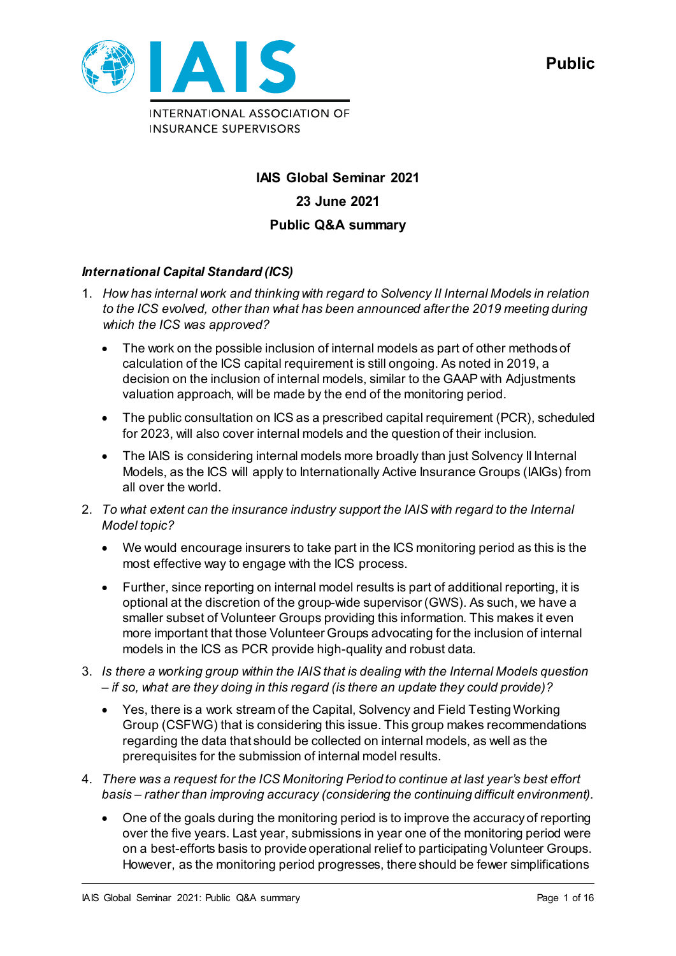

# **IAIS Global Seminar 2021 23 June 2021 Public Q&A summary**

## *International Capital Standard (ICS)*

- 1. *How has internal work and thinking with regard to Solvency II Internal Models in relation to the ICS evolved, other than what has been announced after the 2019 meeting during which the ICS was approved?* 
	- The work on the possible inclusion of internal models as part of other methods of calculation of the ICS capital requirement is still ongoing. As noted in 2019, a decision on the inclusion of internal models, similar to the GAAP with Adjustments valuation approach, will be made by the end of the monitoring period.
	- The public consultation on ICS as a prescribed capital requirement (PCR), scheduled for 2023, will also cover internal models and the question of their inclusion.
	- The IAIS is considering internal models more broadly than just Solvency II Internal Models, as the ICS will apply to Internationally Active Insurance Groups (IAIGs) from all over the world.
- 2. *To what extent can the insurance industry support the IAIS with regard to the Internal Model topic?* 
	- We would encourage insurers to take part in the ICS monitoring period as this is the most effective way to engage with the ICS process.
	- Further, since reporting on internal model results is part of additional reporting, it is optional at the discretion of the group-wide supervisor (GWS). As such, we have a smaller subset of Volunteer Groups providing this information. This makes it even more important that those Volunteer Groups advocating for the inclusion of internal models in the ICS as PCR provide high-quality and robust data.
- 3. *Is there a working group within the IAIS that is dealing with the Internal Models question – if so, what are they doing in this regard (is there an update they could provide)?* 
	- Yes, there is a work stream of the Capital, Solvency and Field Testing Working Group (CSFWG) that is considering this issue. This group makes recommendations regarding the data that should be collected on internal models, as well as the prerequisites for the submission of internal model results.
- 4. *There was a request for the ICS Monitoring Period to continue at last year's best effort basis – rather than improving accuracy (considering the continuing difficult environment).* 
	- One of the goals during the monitoring period is to improve the accuracy of reporting over the five years. Last year, submissions in year one of the monitoring period were on a best-efforts basis to provide operational relief to participating Volunteer Groups. However, as the monitoring period progresses, there should be fewer simplifications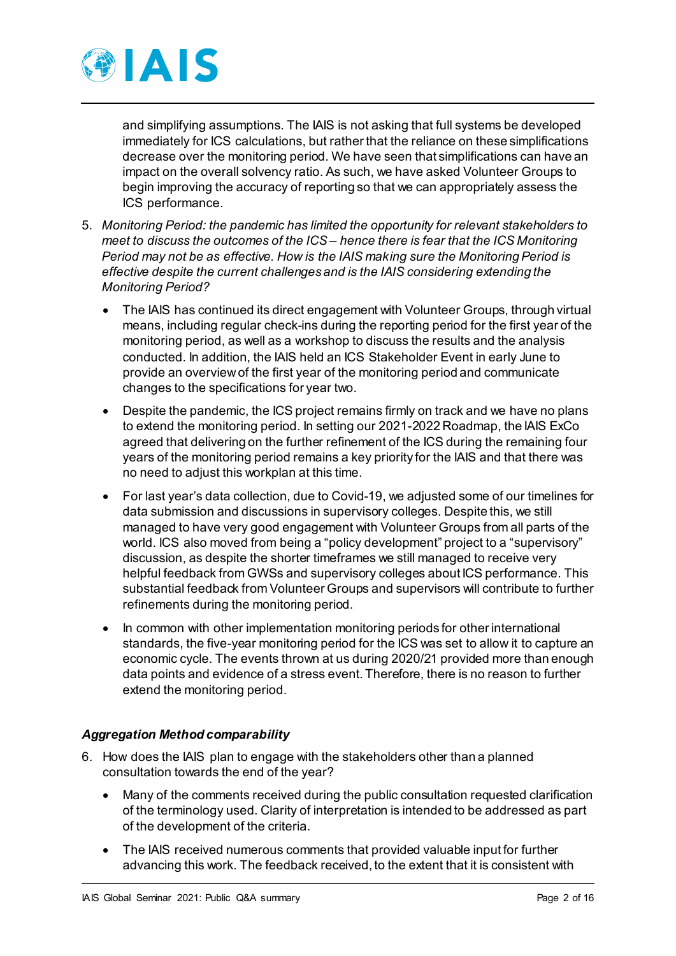

and simplifying assumptions. The IAIS is not asking that full systems be developed immediately for ICS calculations, but rather that the reliance on these simplifications decrease over the monitoring period. We have seen that simplifications can have an impact on the overall solvency ratio. As such, we have asked Volunteer Groups to begin improving the accuracy of reporting so that we can appropriately assess the ICS performance.

- 5. *Monitoring Period: the pandemic has limited the opportunity for relevant stakeholders to meet to discuss the outcomes of the ICS – hence there is fear that the ICS Monitoring Period may not be as effective. How is the IAIS making sure the Monitoring Period is effective despite the current challenges and is the IAIS considering extending the Monitoring Period?* 
	- The IAIS has continued its direct engagement with Volunteer Groups, through virtual means, including regular check-ins during the reporting period for the first year of the monitoring period, as well as a workshop to discuss the results and the analysis conducted. In addition, the IAIS held an ICS Stakeholder Event in early June to provide an overview of the first year of the monitoring period and communicate changes to the specifications for year two.
	- Despite the pandemic, the ICS project remains firmly on track and we have no plans to extend the monitoring period. In setting our 2021-2022 Roadmap, the IAIS ExCo agreed that delivering on the further refinement of the ICS during the remaining four years of the monitoring period remains a key priority for the IAIS and that there was no need to adjust this workplan at this time.
	- For last year's data collection, due to Covid-19, we adjusted some of our timelines for data submission and discussions in supervisory colleges. Despite this, we still managed to have very good engagement with Volunteer Groups from all parts of the world. ICS also moved from being a "policy development" project to a "supervisory" discussion, as despite the shorter timeframes we still managed to receive very helpful feedback from GWSs and supervisory colleges about ICS performance. This substantial feedback from Volunteer Groups and supervisors will contribute to further refinements during the monitoring period.
	- In common with other implementation monitoring periods for other international standards, the five-year monitoring period for the ICS was set to allow it to capture an economic cycle. The events thrown at us during 2020/21 provided more than enough data points and evidence of a stress event. Therefore, there is no reason to further extend the monitoring period.

## *Aggregation Method comparability*

- 6. How does the IAIS plan to engage with the stakeholders other than a planned consultation towards the end of the year?
	- Many of the comments received during the public consultation requested clarification of the terminology used. Clarity of interpretation is intended to be addressed as part of the development of the criteria.
	- The IAIS received numerous comments that provided valuable input for further advancing this work. The feedback received, to the extent that it is consistent with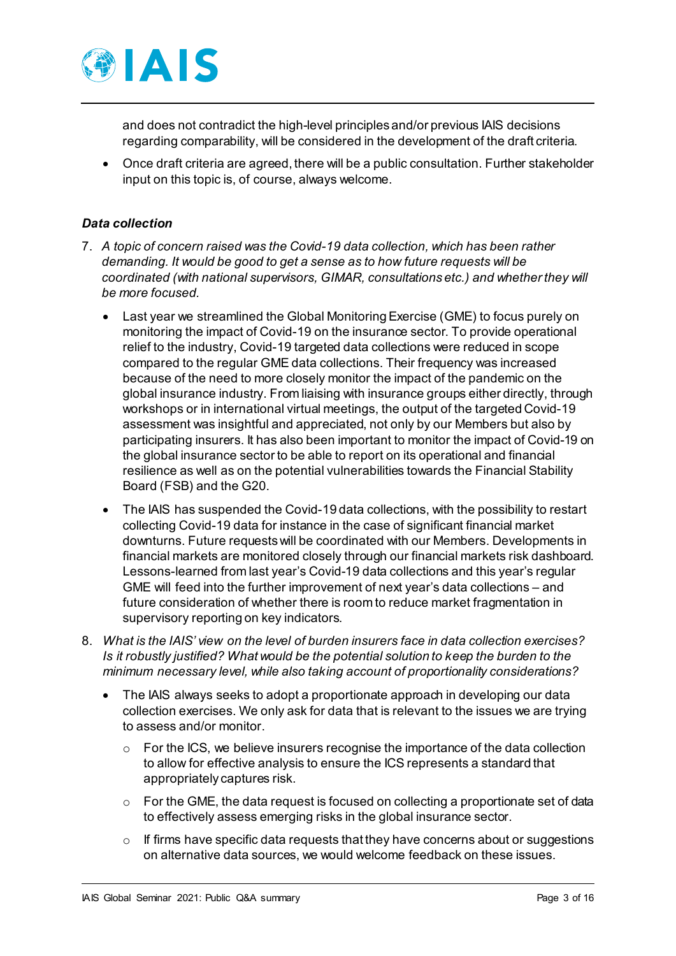

and does not contradict the high-level principles and/or previous IAIS decisions regarding comparability, will be considered in the development of the draft criteria.

• Once draft criteria are agreed, there will be a public consultation. Further stakeholder input on this topic is, of course, always welcome.

#### *Data collection*

- 7. *A topic of concern raised was the Covid-19 data collection, which has been rather demanding. It would be good to get a sense as to how future requests will be coordinated (with national supervisors, GIMAR, consultations etc.) and whether they will be more focused.* 
	- Last year we streamlined the Global Monitoring Exercise (GME) to focus purely on monitoring the impact of Covid-19 on the insurance sector. To provide operational relief to the industry, Covid-19 targeted data collections were reduced in scope compared to the regular GME data collections. Their frequency was increased because of the need to more closely monitor the impact of the pandemic on the global insurance industry. From liaising with insurance groups either directly, through workshops or in international virtual meetings, the output of the targeted Covid-19 assessment was insightful and appreciated, not only by our Members but also by participating insurers. It has also been important to monitor the impact of Covid-19 on the global insurance sector to be able to report on its operational and financial resilience as well as on the potential vulnerabilities towards the Financial Stability Board (FSB) and the G20.
	- The IAIS has suspended the Covid-19 data collections, with the possibility to restart collecting Covid-19 data for instance in the case of significant financial market downturns. Future requests will be coordinated with our Members. Developments in financial markets are monitored closely through our financial markets risk dashboard. Lessons-learned from last year's Covid-19 data collections and this year's regular GME will feed into the further improvement of next year's data collections – and future consideration of whether there is room to reduce market fragmentation in supervisory reporting on key indicators.
- 8. *What is the IAIS' view on the level of burden insurers face in data collection exercises? Is it robustly justified? What would be the potential solution to keep the burden to the minimum necessary level, while also taking account of proportionality considerations?* 
	- The IAIS always seeks to adopt a proportionate approach in developing our data collection exercises. We only ask for data that is relevant to the issues we are trying to assess and/or monitor.
		- For the ICS, we believe insurers recognise the importance of the data collection to allow for effective analysis to ensure the ICS represents a standard that appropriately captures risk.
		- $\circ$  For the GME, the data request is focused on collecting a proportionate set of data to effectively assess emerging risks in the global insurance sector.
		- $\circ$  If firms have specific data requests that they have concerns about or suggestions on alternative data sources, we would welcome feedback on these issues.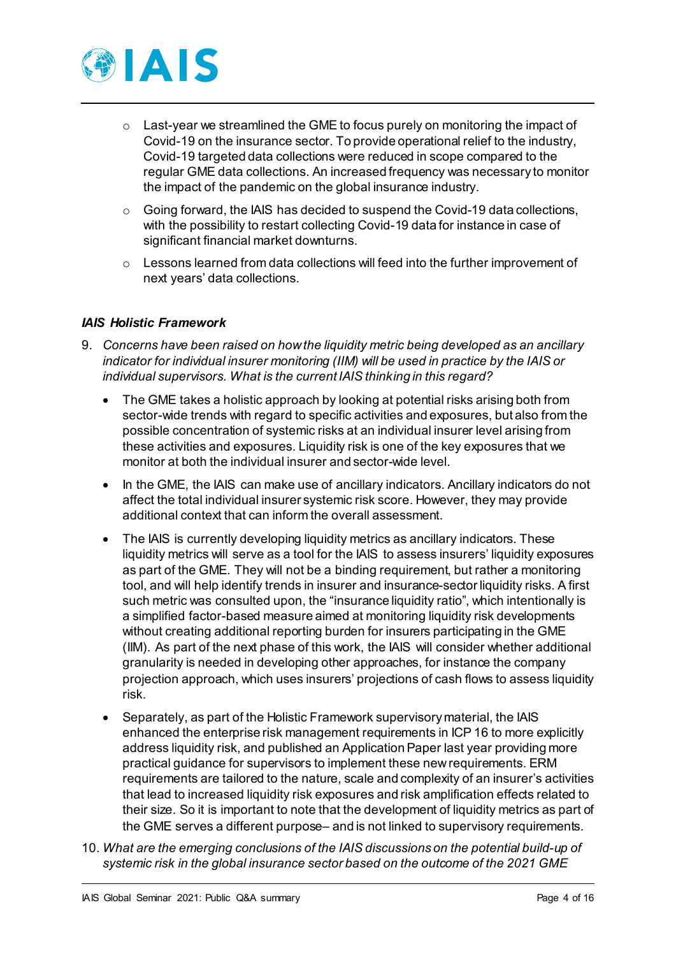

- $\circ$  Last-year we streamlined the GME to focus purely on monitoring the impact of Covid-19 on the insurance sector. To provide operational relief to the industry, Covid-19 targeted data collections were reduced in scope compared to the regular GME data collections. An increased frequency was necessary to monitor the impact of the pandemic on the global insurance industry.
- $\circ$  Going forward, the IAIS has decided to suspend the Covid-19 data collections, with the possibility to restart collecting Covid-19 data for instance in case of significant financial market downturns.
- $\circ$  Lessons learned from data collections will feed into the further improvement of next years' data collections.

#### *IAIS Holistic Framework*

- 9. *Concerns have been raised on how the liquidity metric being developed as an ancillary indicator for individual insurer monitoring (IIM) will be used in practice by the IAIS or individual supervisors. What is the current IAIS thinking in this regard?* 
	- The GME takes a holistic approach by looking at potential risks arising both from sector-wide trends with regard to specific activities and exposures, but also from the possible concentration of systemic risks at an individual insurer level arising from these activities and exposures. Liquidity risk is one of the key exposures that we monitor at both the individual insurer and sector-wide level.
	- In the GME, the IAIS can make use of ancillary indicators. Ancillary indicators do not affect the total individual insurer systemic risk score. However, they may provide additional context that can inform the overall assessment.
	- The IAIS is currently developing liquidity metrics as ancillary indicators. These liquidity metrics will serve as a tool for the IAIS to assess insurers' liquidity exposures as part of the GME. They will not be a binding requirement, but rather a monitoring tool, and will help identify trends in insurer and insurance-sector liquidity risks. A first such metric was consulted upon, the "insurance liquidity ratio", which intentionally is a simplified factor-based measure aimed at monitoring liquidity risk developments without creating additional reporting burden for insurers participating in the GME (IIM). As part of the next phase of this work, the IAIS will consider whether additional granularity is needed in developing other approaches, for instance the company projection approach, which uses insurers' projections of cash flows to assess liquidity risk.
	- Separately, as part of the Holistic Framework supervisory material, the IAIS enhanced the enterprise risk management requirements in ICP 16 to more explicitly address liquidity risk, and published an Application Paper last year providing more practical guidance for supervisors to implement these new requirements. ERM requirements are tailored to the nature, scale and complexity of an insurer's activities that lead to increased liquidity risk exposures and risk amplification effects related to their size. So it is important to note that the development of liquidity metrics as part of the GME serves a different purpose– and is not linked to supervisory requirements.
- 10. *What are the emerging conclusions of the IAIS discussions on the potential build-up of systemic risk in the global insurance sector based on the outcome of the 2021 GME*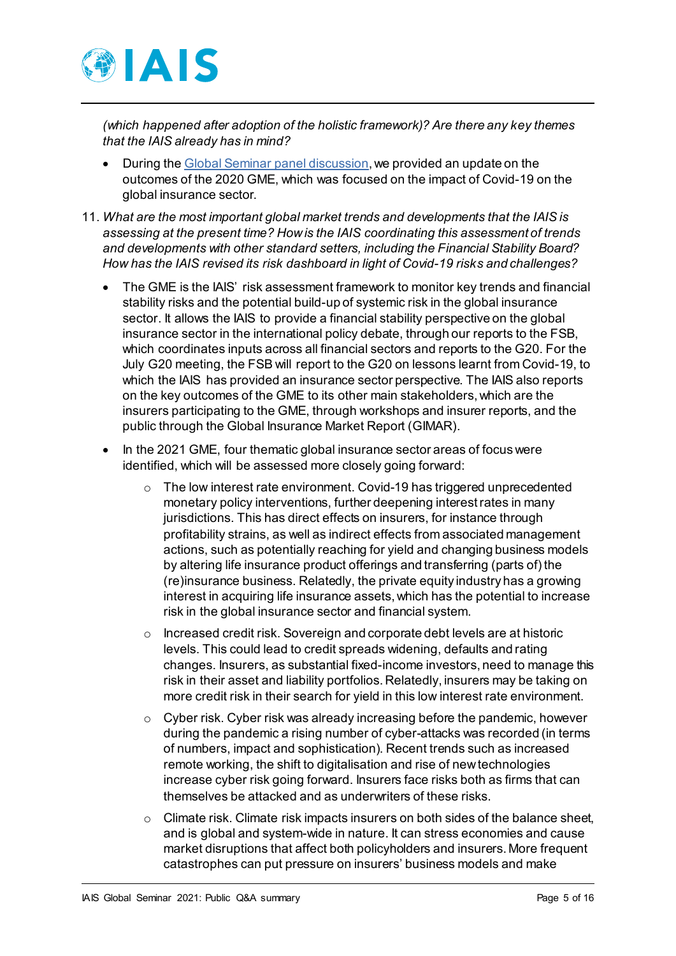

*(which happened after adoption of the holistic framework)? Are there any key themes that the IAIS already has in mind?* 

- During the [Global Seminar panel discussion](https://www.iaisweb.org/page/events/global-seminar/virtual-event-2021/global-seminar-videos-2021/), we provided an update on the outcomes of the 2020 GME, which was focused on the impact of Covid-19 on the global insurance sector.
- 11. *What are the most important global market trends and developments that the IAIS is assessing at the present time? How is the IAIS coordinating this assessment of trends and developments with other standard setters, including the Financial Stability Board? How has the IAIS revised its risk dashboard in light of Covid-19 risks and challenges?* 
	- The GME is the IAIS' risk assessment framework to monitor key trends and financial stability risks and the potential build-up of systemic risk in the global insurance sector. It allows the IAIS to provide a financial stability perspective on the global insurance sector in the international policy debate, through our reports to the FSB, which coordinates inputs across all financial sectors and reports to the G20. For the July G20 meeting, the FSB will report to the G20 on lessons learnt from Covid-19, to which the IAIS has provided an insurance sector perspective. The IAIS also reports on the key outcomes of the GME to its other main stakeholders, which are the insurers participating to the GME, through workshops and insurer reports, and the public through the Global Insurance Market Report (GIMAR).
	- In the 2021 GME, four thematic global insurance sector areas of focus were identified, which will be assessed more closely going forward:
		- The low interest rate environment. Covid-19 has triggered unprecedented monetary policy interventions, further deepening interest rates in many jurisdictions. This has direct effects on insurers, for instance through profitability strains, as well as indirect effects from associated management actions, such as potentially reaching for yield and changing business models by altering life insurance product offerings and transferring (parts of) the (re)insurance business. Relatedly, the private equity industry has a growing interest in acquiring life insurance assets, which has the potential to increase risk in the global insurance sector and financial system.
		- Increased credit risk. Sovereign and corporate debt levels are at historic levels. This could lead to credit spreads widening, defaults and rating changes. Insurers, as substantial fixed-income investors, need to manage this risk in their asset and liability portfolios. Relatedly, insurers may be taking on more credit risk in their search for yield in this low interest rate environment.
		- o Cyber risk. Cyber risk was already increasing before the pandemic, however during the pandemic a rising number of cyber-attacks was recorded (in terms of numbers, impact and sophistication). Recent trends such as increased remote working, the shift to digitalisation and rise of new technologies increase cyber risk going forward. Insurers face risks both as firms that can themselves be attacked and as underwriters of these risks.
		- Climate risk. Climate risk impacts insurers on both sides of the balance sheet, and is global and system-wide in nature. It can stress economies and cause market disruptions that affect both policyholders and insurers. More frequent catastrophes can put pressure on insurers' business models and make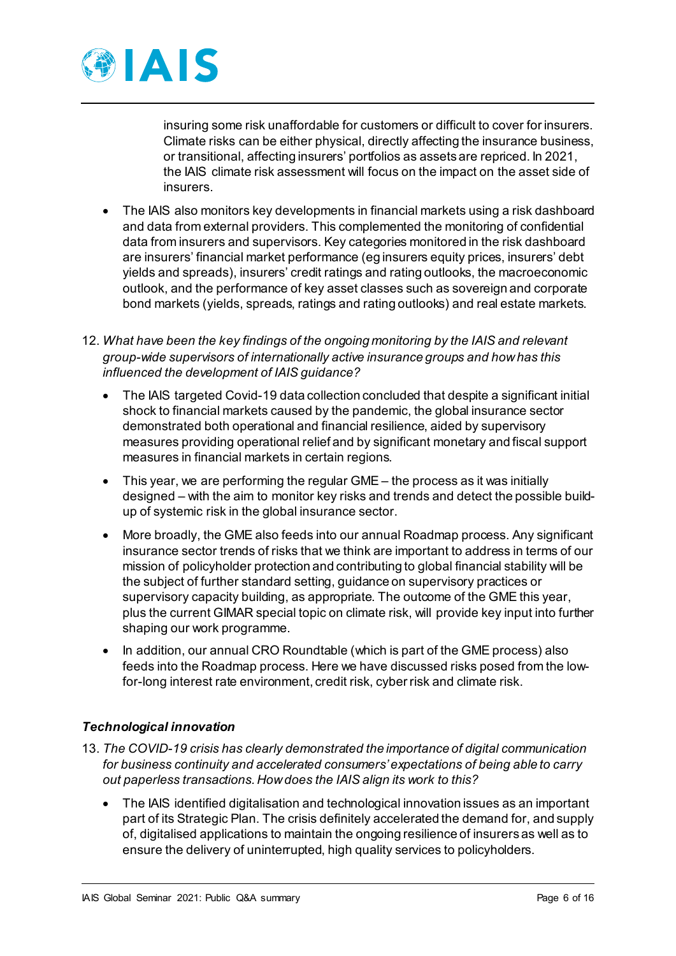

insuring some risk unaffordable for customers or difficult to cover for insurers. Climate risks can be either physical, directly affecting the insurance business, or transitional, affecting insurers' portfolios as assets are repriced. In 2021, the IAIS climate risk assessment will focus on the impact on the asset side of insurers.

- The IAIS also monitors key developments in financial markets using a risk dashboard and data from external providers. This complemented the monitoring of confidential data from insurers and supervisors. Key categories monitored in the risk dashboard are insurers' financial market performance (eg insurers equity prices, insurers' debt yields and spreads), insurers' credit ratings and rating outlooks, the macroeconomic outlook, and the performance of key asset classes such as sovereign and corporate bond markets (yields, spreads, ratings and rating outlooks) and real estate markets.
- 12. *What have been the key findings of the ongoing monitoring by the IAIS and relevant group-wide supervisors of internationally active insurance groups and how has this influenced the development of IAIS guidance?* 
	- The IAIS targeted Covid-19 data collection concluded that despite a significant initial shock to financial markets caused by the pandemic, the global insurance sector demonstrated both operational and financial resilience, aided by supervisory measures providing operational relief and by significant monetary and fiscal support measures in financial markets in certain regions.
	- This year, we are performing the regular GME the process as it was initially designed – with the aim to monitor key risks and trends and detect the possible buildup of systemic risk in the global insurance sector.
	- More broadly, the GME also feeds into our annual Roadmap process. Any significant insurance sector trends of risks that we think are important to address in terms of our mission of policyholder protection and contributing to global financial stability will be the subject of further standard setting, guidance on supervisory practices or supervisory capacity building, as appropriate. The outcome of the GME this year, plus the current GIMAR special topic on climate risk, will provide key input into further shaping our work programme.
	- In addition, our annual CRO Roundtable (which is part of the GME process) also feeds into the Roadmap process. Here we have discussed risks posed from the lowfor-long interest rate environment, credit risk, cyber risk and climate risk.

## *Technological innovation*

- 13. *The COVID-19 crisis has clearly demonstrated the importance of digital communication for business continuity and accelerated consumers' expectations of being able to carry out paperless transactions. How does the IAIS align its work to this?* 
	- The IAIS identified digitalisation and technological innovation issues as an important part of its Strategic Plan. The crisis definitely accelerated the demand for, and supply of, digitalised applications to maintain the ongoing resilience of insurers as well as to ensure the delivery of uninterrupted, high quality services to policyholders.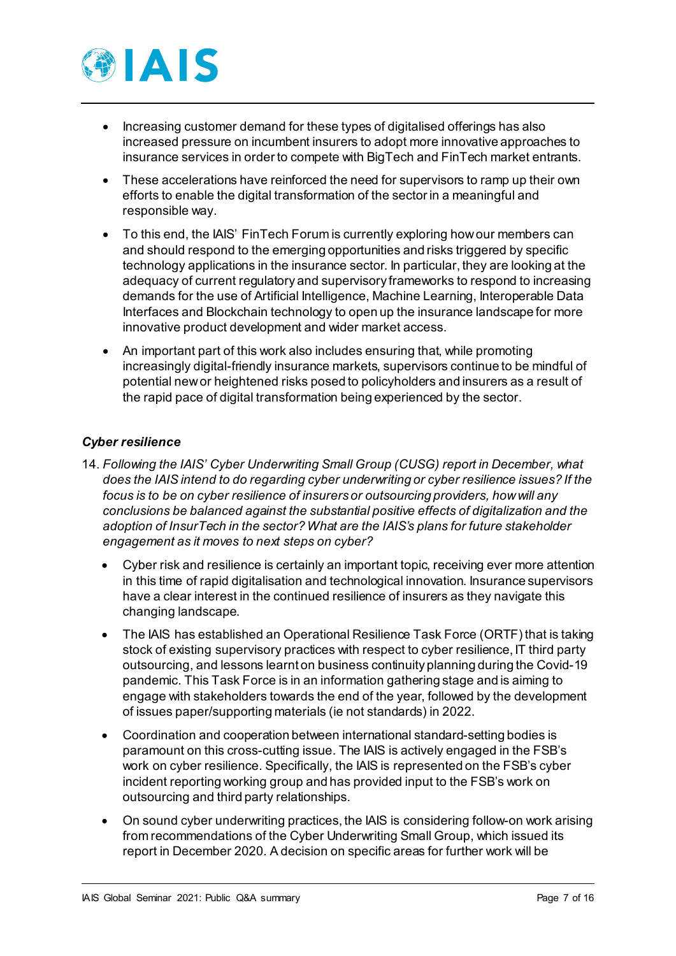

- Increasing customer demand for these types of digitalised offerings has also increased pressure on incumbent insurers to adopt more innovative approaches to insurance services in order to compete with BigTech and FinTech market entrants.
- These accelerations have reinforced the need for supervisors to ramp up their own efforts to enable the digital transformation of the sector in a meaningful and responsible way.
- To this end, the IAIS' FinTech Forum is currently exploring how our members can and should respond to the emerging opportunities and risks triggered by specific technology applications in the insurance sector. In particular, they are looking at the adequacy of current regulatory and supervisory frameworks to respond to increasing demands for the use of Artificial Intelligence, Machine Learning, Interoperable Data Interfaces and Blockchain technology to open up the insurance landscape for more innovative product development and wider market access.
- An important part of this work also includes ensuring that, while promoting increasingly digital-friendly insurance markets, supervisors continue to be mindful of potential new or heightened risks posed to policyholders and insurers as a result of the rapid pace of digital transformation being experienced by the sector.

## *Cyber resilience*

- 14. *Following the IAIS' Cyber Underwriting Small Group (CUSG) report in December, what does the IAIS intend to do regarding cyber underwriting or cyber resilience issues? If the focus is to be on cyber resilience of insurers or outsourcing providers, how will any conclusions be balanced against the substantial positive effects of digitalization and the adoption of InsurTech in the sector? What are the IAIS's plans for future stakeholder engagement as it moves to next steps on cyber?* 
	- Cyber risk and resilience is certainly an important topic, receiving ever more attention in this time of rapid digitalisation and technological innovation. Insurance supervisors have a clear interest in the continued resilience of insurers as they navigate this changing landscape.
	- The IAIS has established an Operational Resilience Task Force (ORTF) that is taking stock of existing supervisory practices with respect to cyber resilience, IT third party outsourcing, and lessons learnt on business continuity planning during the Covid-19 pandemic. This Task Force is in an information gathering stage and is aiming to engage with stakeholders towards the end of the year, followed by the development of issues paper/supporting materials (ie not standards) in 2022.
	- Coordination and cooperation between international standard-setting bodies is paramount on this cross-cutting issue. The IAIS is actively engaged in the FSB's work on cyber resilience. Specifically, the IAIS is represented on the FSB's cyber incident reporting working group and has provided input to the FSB's work on outsourcing and third party relationships.
	- On sound cyber underwriting practices, the IAIS is considering follow-on work arising from recommendations of the Cyber Underwriting Small Group, which issued its report in December 2020. A decision on specific areas for further work will be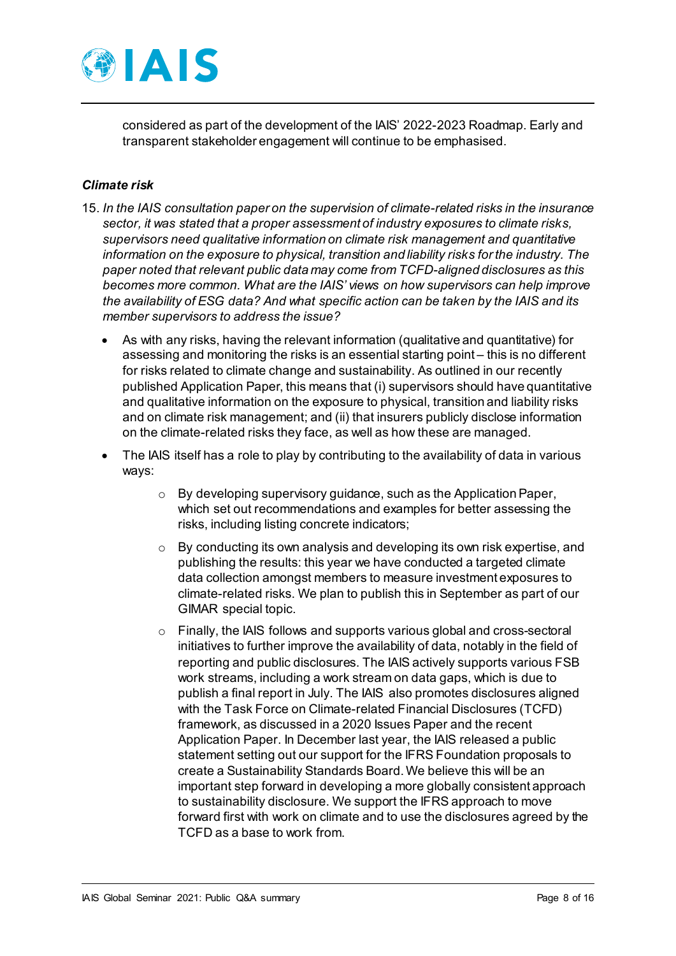

considered as part of the development of the IAIS' 2022-2023 Roadmap. Early and transparent stakeholder engagement will continue to be emphasised.

#### *Climate risk*

- 15. *In the IAIS consultation paper on the supervision of climate-related risks in the insurance sector, it was stated that a proper assessment of industry exposures to climate risks, supervisors need qualitative information on climate risk management and quantitative information on the exposure to physical, transition and liability risks for the industry. The paper noted that relevant public data may come from TCFD-aligned disclosures as this becomes more common. What are the IAIS' views on how supervisors can help improve the availability of ESG data? And what specific action can be taken by the IAIS and its member supervisors to address the issue?*
	- As with any risks, having the relevant information (qualitative and quantitative) for assessing and monitoring the risks is an essential starting point – this is no different for risks related to climate change and sustainability. As outlined in our recently published Application Paper, this means that (i) supervisors should have quantitative and qualitative information on the exposure to physical, transition and liability risks and on climate risk management; and (ii) that insurers publicly disclose information on the climate-related risks they face, as well as how these are managed.
	- The IAIS itself has a role to play by contributing to the availability of data in various ways:
		- $\circ$  By developing supervisory guidance, such as the Application Paper, which set out recommendations and examples for better assessing the risks, including listing concrete indicators;
		- $\circ$  By conducting its own analysis and developing its own risk expertise, and publishing the results: this year we have conducted a targeted climate data collection amongst members to measure investment exposures to climate-related risks. We plan to publish this in September as part of our GIMAR special topic.
		- o Finally, the IAIS follows and supports various global and cross-sectoral initiatives to further improve the availability of data, notably in the field of reporting and public disclosures. The IAIS actively supports various FSB work streams, including a work stream on data gaps, which is due to publish a final report in July. The IAIS also promotes disclosures aligned with the Task Force on Climate-related Financial Disclosures (TCFD) framework, as discussed in a 2020 Issues Paper and the recent Application Paper. In December last year, the IAIS released a public statement setting out our support for the IFRS Foundation proposals to create a Sustainability Standards Board. We believe this will be an important step forward in developing a more globally consistent approach to sustainability disclosure. We support the IFRS approach to move forward first with work on climate and to use the disclosures agreed by the TCFD as a base to work from.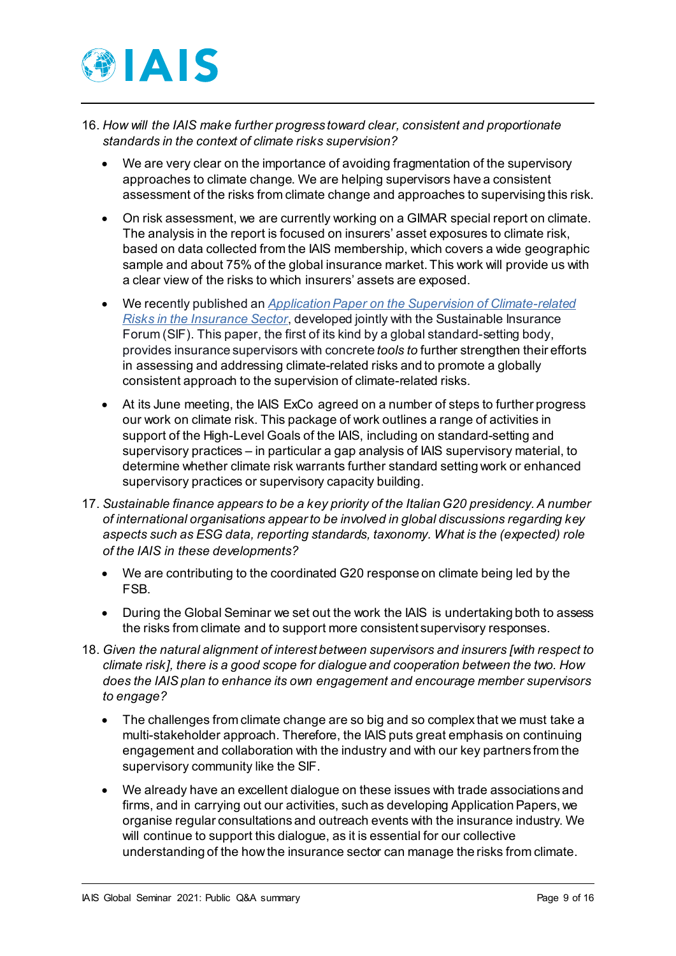

- 16. *How will the IAIS make further progress toward clear, consistent and proportionate standards in the context of climate risks supervision?* 
	- We are very clear on the importance of avoiding fragmentation of the supervisory approaches to climate change. We are helping supervisors have a consistent assessment of the risks from climate change and approaches to supervising this risk.
	- On risk assessment, we are currently working on a GIMAR special report on climate. The analysis in the report is focused on insurers' asset exposures to climate risk, based on data collected from the IAIS membership, which covers a wide geographic sample and about 75% of the global insurance market. This work will provide us with a clear view of the risks to which insurers' assets are exposed.
	- We recently published an *[Application Paper on the Supervision of Climate-related](https://www.iaisweb.org/page/supervisory-material/application-papers/file/97146/application-paper-on-the-supervision-of-climate-related-risks-in-the-insurance-sector)  [Risks in the Insurance Sector](https://www.iaisweb.org/page/supervisory-material/application-papers/file/97146/application-paper-on-the-supervision-of-climate-related-risks-in-the-insurance-sector)*, developed jointly with the Sustainable Insurance Forum (SIF). This paper, the first of its kind by a global standard-setting body, provides insurance supervisors with concrete *tools to* further strengthen their efforts in assessing and addressing climate-related risks and to promote a globally consistent approach to the supervision of climate-related risks.
	- At its June meeting, the IAIS ExCo agreed on a number of steps to further progress our work on climate risk. This package of work outlines a range of activities in support of the High-Level Goals of the IAIS, including on standard-setting and supervisory practices – in particular a gap analysis of IAIS supervisory material, to determine whether climate risk warrants further standard setting work or enhanced supervisory practices or supervisory capacity building.
- 17. *Sustainable finance appears to be a key priority of the Italian G20 presidency. A number of international organisations appear to be involved in global discussions regarding key aspects such as ESG data, reporting standards, taxonomy. What is the (expected) role of the IAIS in these developments?* 
	- We are contributing to the coordinated G20 response on climate being led by the FSB.
	- During the Global Seminar we set out the work the IAIS is undertaking both to assess the risks from climate and to support more consistent supervisory responses.
- 18. *Given the natural alignment of interest between supervisors and insurers [with respect to climate risk], there is a good scope for dialogue and cooperation between the two. How does the IAIS plan to enhance its own engagement and encourage member supervisors to engage?* 
	- The challenges from climate change are so big and so complex that we must take a multi-stakeholder approach. Therefore, the IAIS puts great emphasis on continuing engagement and collaboration with the industry and with our key partners from the supervisory community like the SIF.
	- We already have an excellent dialogue on these issues with trade associations and firms, and in carrying out our activities, such as developing Application Papers, we organise regular consultations and outreach events with the insurance industry. We will continue to support this dialogue, as it is essential for our collective understanding of the how the insurance sector can manage the risks from climate.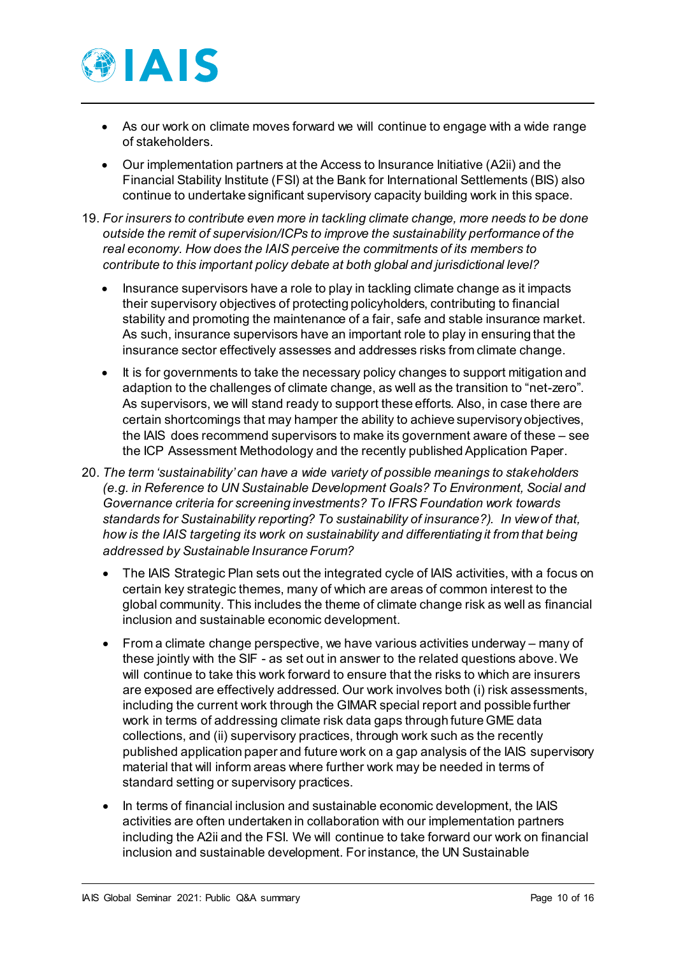

- As our work on climate moves forward we will continue to engage with a wide range of stakeholders.
- Our implementation partners at the Access to Insurance Initiative (A2ii) and the Financial Stability Institute (FSI) at the Bank for International Settlements (BIS) also continue to undertake significant supervisory capacity building work in this space.
- 19. *For insurers to contribute even more in tackling climate change, more needs to be done outside the remit of supervision/ICPs to improve the sustainability performance of the real economy. How does the IAIS perceive the commitments of its members to contribute to this important policy debate at both global and jurisdictional level?* 
	- Insurance supervisors have a role to play in tackling climate change as it impacts their supervisory objectives of protecting policyholders, contributing to financial stability and promoting the maintenance of a fair, safe and stable insurance market. As such, insurance supervisors have an important role to play in ensuring that the insurance sector effectively assesses and addresses risks from climate change.
	- It is for governments to take the necessary policy changes to support mitigation and adaption to the challenges of climate change, as well as the transition to "net-zero". As supervisors, we will stand ready to support these efforts. Also, in case there are certain shortcomings that may hamper the ability to achieve supervisory objectives, the IAIS does recommend supervisors to make its government aware of these – see the ICP Assessment Methodology and the recently published Application Paper.
- 20. *The term 'sustainability' can have a wide variety of possible meanings to stakeholders (e.g. in Reference to UN Sustainable Development Goals? To Environment, Social and Governance criteria for screening investments? To IFRS Foundation work towards standards for Sustainability reporting? To sustainability of insurance?). In view of that, how is the IAIS targeting its work on sustainability and differentiating it from that being addressed by Sustainable Insurance Forum?*
	- The IAIS Strategic Plan sets out the integrated cycle of IAIS activities, with a focus on certain key strategic themes, many of which are areas of common interest to the global community. This includes the theme of climate change risk as well as financial inclusion and sustainable economic development.
	- From a climate change perspective, we have various activities underway many of these jointly with the SIF - as set out in answer to the related questions above. We will continue to take this work forward to ensure that the risks to which are insurers are exposed are effectively addressed. Our work involves both (i) risk assessments, including the current work through the GIMAR special report and possible further work in terms of addressing climate risk data gaps through future GME data collections, and (ii) supervisory practices, through work such as the recently published application paper and future work on a gap analysis of the IAIS supervisory material that will inform areas where further work may be needed in terms of standard setting or supervisory practices.
	- In terms of financial inclusion and sustainable economic development, the IAIS activities are often undertaken in collaboration with our implementation partners including the A2ii and the FSI. We will continue to take forward our work on financial inclusion and sustainable development. For instance, the UN Sustainable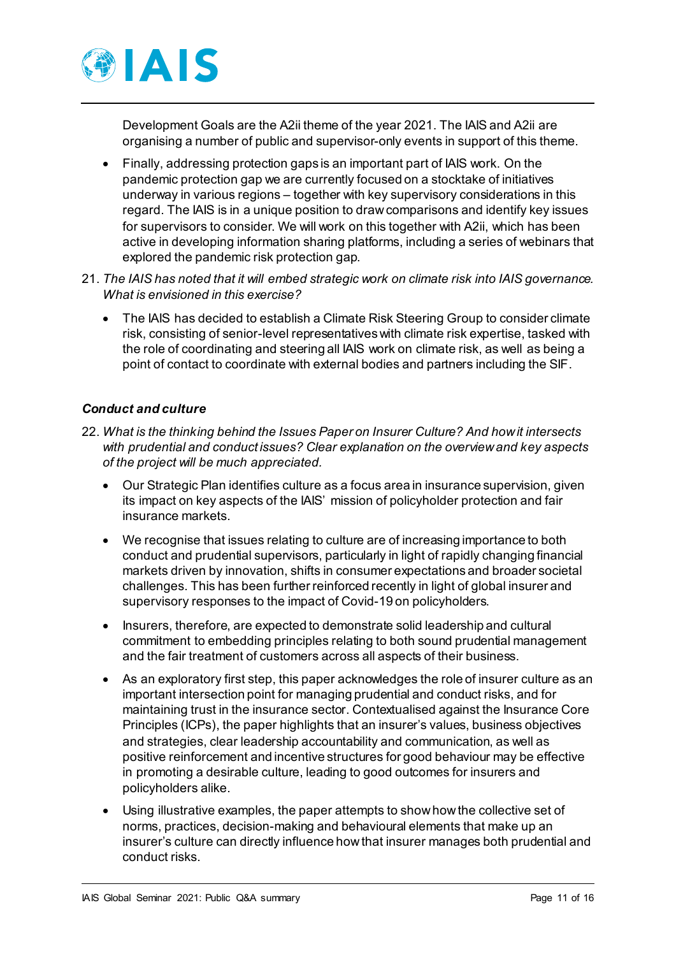

Development Goals are the A2ii theme of the year 2021. The IAIS and A2ii are organising a number of public and supervisor-only events in support of this theme.

- Finally, addressing protection gaps is an important part of IAIS work. On the pandemic protection gap we are currently focused on a stocktake of initiatives underway in various regions – together with key supervisory considerations in this regard. The IAIS is in a unique position to draw comparisons and identify key issues for supervisors to consider. We will work on this together with A2ii, which has been active in developing information sharing platforms, including a series of webinars that explored the pandemic risk protection gap.
- 21. *The IAIS has noted that it will embed strategic work on climate risk into IAIS governance. What is envisioned in this exercise?* 
	- The IAIS has decided to establish a Climate Risk Steering Group to consider climate risk, consisting of senior-level representatives with climate risk expertise, tasked with the role of coordinating and steering all IAIS work on climate risk, as well as being a point of contact to coordinate with external bodies and partners including the SIF.

## *Conduct and culture*

- 22. *What is the thinking behind the Issues Paper on Insurer Culture? And how it intersects with prudential and conduct issues? Clear explanation on the overview and key aspects of the project will be much appreciated.* 
	- Our Strategic Plan identifies culture as a focus area in insurance supervision, given its impact on key aspects of the IAIS' mission of policyholder protection and fair insurance markets.
	- We recognise that issues relating to culture are of increasing importance to both conduct and prudential supervisors, particularly in light of rapidly changing financial markets driven by innovation, shifts in consumer expectations and broader societal challenges. This has been further reinforced recently in light of global insurer and supervisory responses to the impact of Covid-19 on policyholders.
	- Insurers, therefore, are expected to demonstrate solid leadership and cultural commitment to embedding principles relating to both sound prudential management and the fair treatment of customers across all aspects of their business.
	- As an exploratory first step, this paper acknowledges the role of insurer culture as an important intersection point for managing prudential and conduct risks, and for maintaining trust in the insurance sector. Contextualised against the Insurance Core Principles (ICPs), the paper highlights that an insurer's values, business objectives and strategies, clear leadership accountability and communication, as well as positive reinforcement and incentive structures for good behaviour may be effective in promoting a desirable culture, leading to good outcomes for insurers and policyholders alike.
	- Using illustrative examples, the paper attempts to show how the collective set of norms, practices, decision-making and behavioural elements that make up an insurer's culture can directly influence how that insurer manages both prudential and conduct risks.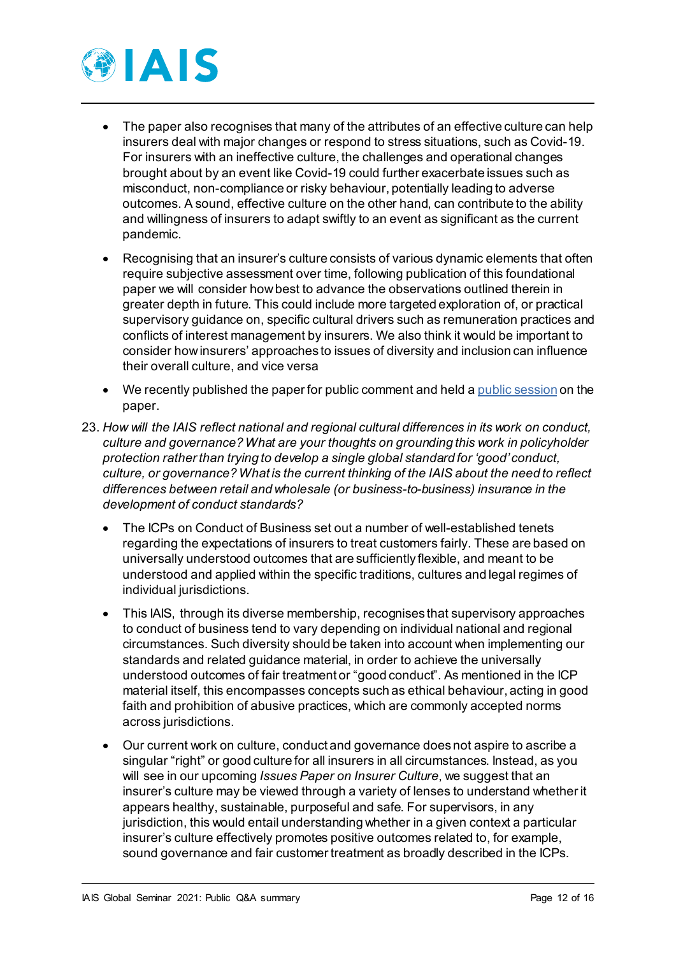

- The paper also recognises that many of the attributes of an effective culture can help insurers deal with major changes or respond to stress situations, such as Covid-19. For insurers with an ineffective culture, the challenges and operational changes brought about by an event like Covid-19 could further exacerbate issues such as misconduct, non-compliance or risky behaviour, potentially leading to adverse outcomes. A sound, effective culture on the other hand, can contribute to the ability and willingness of insurers to adapt swiftly to an event as significant as the current pandemic.
- Recognising that an insurer's culture consists of various dynamic elements that often require subjective assessment over time, following publication of this foundational paper we will consider how best to advance the observations outlined therein in greater depth in future. This could include more targeted exploration of, or practical supervisory guidance on, specific cultural drivers such as remuneration practices and conflicts of interest management by insurers. We also think it would be important to consider how insurers' approaches to issues of diversity and inclusion can influence their overall culture, and vice versa
- We recently published the paper for public comment and held [a public session](https://www.iaisweb.org/page/events/stakeholder-meetings/previous-meetings) on the paper.
- 23. *How will the IAIS reflect national and regional cultural differences in its work on conduct, culture and governance? What are your thoughts on grounding this work in policyholder protection rather than trying to develop a single global standard for 'good' conduct, culture, or governance? What is the current thinking of the IAIS about the need to reflect differences between retail and wholesale (or business-to-business) insurance in the development of conduct standards?* 
	- The ICPs on Conduct of Business set out a number of well-established tenets regarding the expectations of insurers to treat customers fairly. These are based on universally understood outcomes that are sufficiently flexible, and meant to be understood and applied within the specific traditions, cultures and legal regimes of individual jurisdictions.
	- This IAIS, through its diverse membership, recognises that supervisory approaches to conduct of business tend to vary depending on individual national and regional circumstances. Such diversity should be taken into account when implementing our standards and related guidance material, in order to achieve the universally understood outcomes of fair treatment or "good conduct". As mentioned in the ICP material itself, this encompasses concepts such as ethical behaviour, acting in good faith and prohibition of abusive practices, which are commonly accepted norms across jurisdictions.
	- Our current work on culture, conduct and governance does not aspire to ascribe a singular "right" or good culture for all insurers in all circumstances. Instead, as you will see in our upcoming *Issues Paper on Insurer Culture*, we suggest that an insurer's culture may be viewed through a variety of lenses to understand whether it appears healthy, sustainable, purposeful and safe. For supervisors, in any jurisdiction, this would entail understanding whether in a given context a particular insurer's culture effectively promotes positive outcomes related to, for example, sound governance and fair customer treatment as broadly described in the ICPs.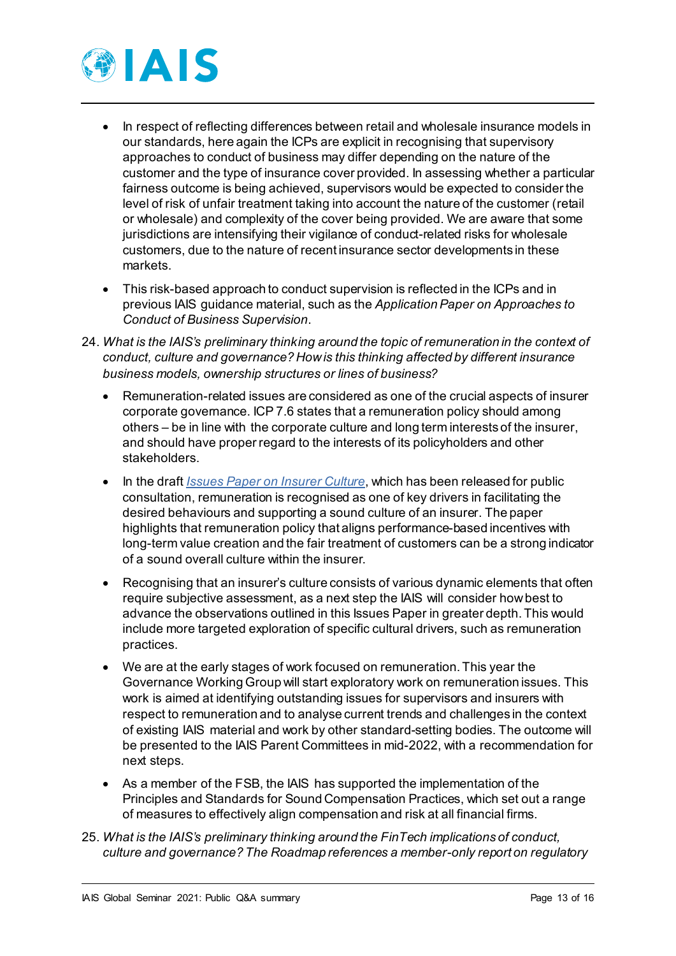

- In respect of reflecting differences between retail and wholesale insurance models in our standards, here again the ICPs are explicit in recognising that supervisory approaches to conduct of business may differ depending on the nature of the customer and the type of insurance cover provided. In assessing whether a particular fairness outcome is being achieved, supervisors would be expected to consider the level of risk of unfair treatment taking into account the nature of the customer (retail or wholesale) and complexity of the cover being provided. We are aware that some jurisdictions are intensifying their vigilance of conduct-related risks for wholesale customers, due to the nature of recent insurance sector developments in these markets.
- This risk-based approach to conduct supervision is reflected in the ICPs and in previous IAIS guidance material, such as the *Application Paper on Approaches to Conduct of Business Supervision*.
- 24. *What is the IAIS's preliminary thinking around the topic of remuneration in the context of conduct, culture and governance? How is this thinking affected by different insurance business models, ownership structures or lines of business?* 
	- Remuneration-related issues are considered as one of the crucial aspects of insurer corporate governance. ICP 7.6 states that a remuneration policy should among others – be in line with the corporate culture and long term interests of the insurer, and should have proper regard to the interests of its policyholders and other stakeholders.
	- In the draft *[Issues Paper on Insurer Culture](https://www.iaisweb.org/page/consultations/current-consultations/draft-issues-paper-on-insurer-culture/https:/www.iaisweb.org/page/consultations/current-consultations/draft-issues-paper-on-insurer-culture/)*, which has been released for public consultation, remuneration is recognised as one of key drivers in facilitating the desired behaviours and supporting a sound culture of an insurer. The paper highlights that remuneration policy that aligns performance-based incentives with long-term value creation and the fair treatment of customers can be a strong indicator of a sound overall culture within the insurer.
	- Recognising that an insurer's culture consists of various dynamic elements that often require subjective assessment, as a next step the IAIS will consider how best to advance the observations outlined in this Issues Paper in greater depth. This would include more targeted exploration of specific cultural drivers, such as remuneration practices.
	- We are at the early stages of work focused on remuneration. This year the Governance Working Group will start exploratory work on remuneration issues. This work is aimed at identifying outstanding issues for supervisors and insurers with respect to remuneration and to analyse current trends and challenges in the context of existing IAIS material and work by other standard-setting bodies. The outcome will be presented to the IAIS Parent Committees in mid-2022, with a recommendation for next steps.
	- As a member of the FSB, the IAIS has supported the implementation of the Principles and Standards for Sound Compensation Practices, which set out a range of measures to effectively align compensation and risk at all financial firms.
- 25. *What is the IAIS's preliminary thinking around the FinTech implications of conduct, culture and governance? The Roadmap references a member-only report on regulatory*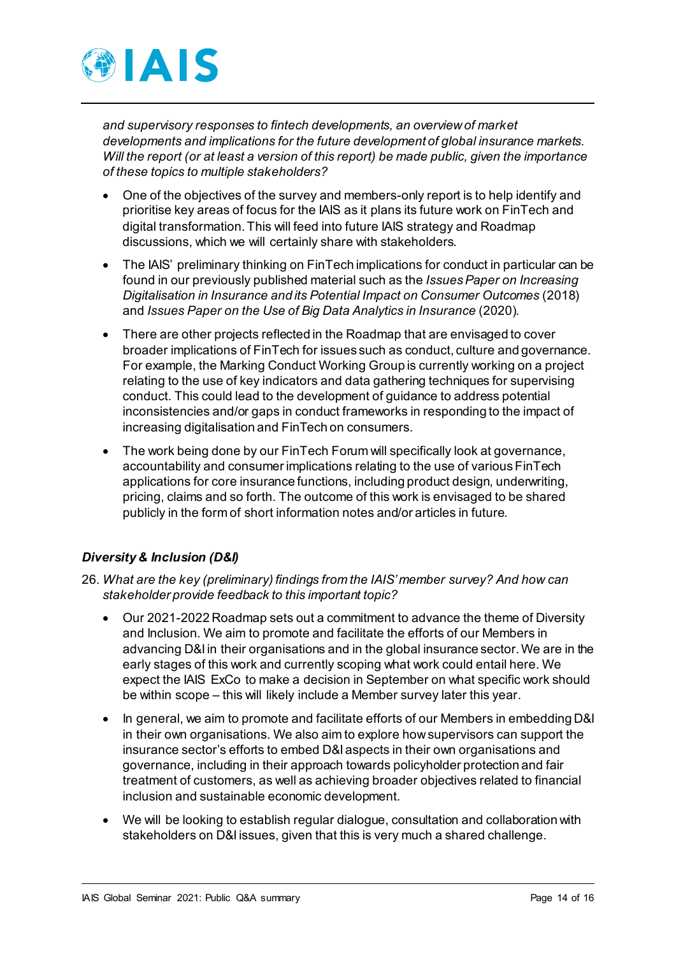

*and supervisory responses to fintech developments, an overview of market developments and implications for the future development of global insurance markets. Will the report (or at least a version of this report) be made public, given the importance of these topics to multiple stakeholders?* 

- One of the objectives of the survey and members-only report is to help identify and prioritise key areas of focus for the IAIS as it plans its future work on FinTech and digital transformation. This will feed into future IAIS strategy and Roadmap discussions, which we will certainly share with stakeholders.
- The IAIS' preliminary thinking on FinTech implications for conduct in particular can be found in our previously published material such as the *Issues Paper on Increasing Digitalisation in Insurance and its Potential Impact on Consumer Outcomes* (2018) and *Issues Paper on the Use of Big Data Analytics in Insurance* (2020).
- There are other projects reflected in the Roadmap that are envisaged to cover broader implications of FinTech for issues such as conduct, culture and governance. For example, the Marking Conduct Working Group is currently working on a project relating to the use of key indicators and data gathering techniques for supervising conduct. This could lead to the development of guidance to address potential inconsistencies and/or gaps in conduct frameworks in responding to the impact of increasing digitalisation and FinTech on consumers.
- The work being done by our FinTech Forum will specifically look at governance, accountability and consumer implications relating to the use of various FinTech applications for core insurance functions, including product design, underwriting, pricing, claims and so forth. The outcome of this work is envisaged to be shared publicly in the form of short information notes and/or articles in future.

## *Diversity & Inclusion (D&I)*

- 26. *What are the key (preliminary) findings from the IAIS' member survey? And how can stakeholder provide feedback to this important topic?*
	- Our 2021-2022 Roadmap sets out a commitment to advance the theme of Diversity and Inclusion. We aim to promote and facilitate the efforts of our Members in advancing D&I in their organisations and in the global insurance sector. We are in the early stages of this work and currently scoping what work could entail here. We expect the IAIS ExCo to make a decision in September on what specific work should be within scope – this will likely include a Member survey later this year.
	- In general, we aim to promote and facilitate efforts of our Members in embedding D&I in their own organisations. We also aim to explore how supervisors can support the insurance sector's efforts to embed D&I aspects in their own organisations and governance, including in their approach towards policyholder protection and fair treatment of customers, as well as achieving broader objectives related to financial inclusion and sustainable economic development.
	- We will be looking to establish regular dialogue, consultation and collaboration with stakeholders on D&I issues, given that this is very much a shared challenge.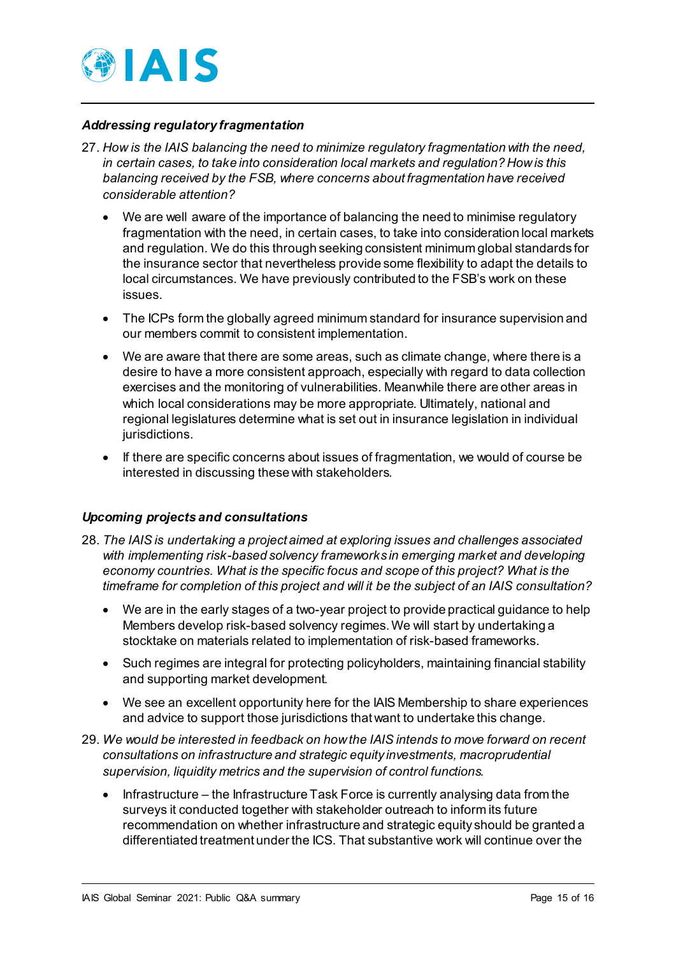

#### *Addressing regulatory fragmentation*

- 27. *How is the IAIS balancing the need to minimize regulatory fragmentation with the need, in certain cases, to take into consideration local markets and regulation? How is this balancing received by the FSB, where concerns about fragmentation have received considerable attention?* 
	- We are well aware of the importance of balancing the need to minimise regulatory fragmentation with the need, in certain cases, to take into consideration local markets and regulation. We do this through seeking consistent minimum global standards for the insurance sector that nevertheless provide some flexibility to adapt the details to local circumstances. We have previously contributed to the FSB's work on these issues.
	- The ICPs form the globally agreed minimum standard for insurance supervision and our members commit to consistent implementation.
	- We are aware that there are some areas, such as climate change, where there is a desire to have a more consistent approach, especially with regard to data collection exercises and the monitoring of vulnerabilities. Meanwhile there are other areas in which local considerations may be more appropriate. Ultimately, national and regional legislatures determine what is set out in insurance legislation in individual jurisdictions.
	- If there are specific concerns about issues of fragmentation, we would of course be interested in discussing these with stakeholders.

#### *Upcoming projects and consultations*

- 28. *The IAIS is undertaking a project aimed at exploring issues and challenges associated with implementing risk-based solvency frameworks in emerging market and developing economy countries. What is the specific focus and scope of this project? What is the timeframe for completion of this project and will it be the subject of an IAIS consultation?* 
	- We are in the early stages of a two-year project to provide practical guidance to help Members develop risk-based solvency regimes. We will start by undertaking a stocktake on materials related to implementation of risk-based frameworks.
	- Such regimes are integral for protecting policyholders, maintaining financial stability and supporting market development.
	- We see an excellent opportunity here for the IAIS Membership to share experiences and advice to support those jurisdictions that want to undertake this change.
- 29. *We would be interested in feedback on how the IAIS intends to move forward on recent consultations on infrastructure and strategic equity investments, macroprudential supervision, liquidity metrics and the supervision of control functions.* 
	- Infrastructure the Infrastructure Task Force is currently analysing data from the surveys it conducted together with stakeholder outreach to inform its future recommendation on whether infrastructure and strategic equity should be granted a differentiated treatment under the ICS. That substantive work will continue over the